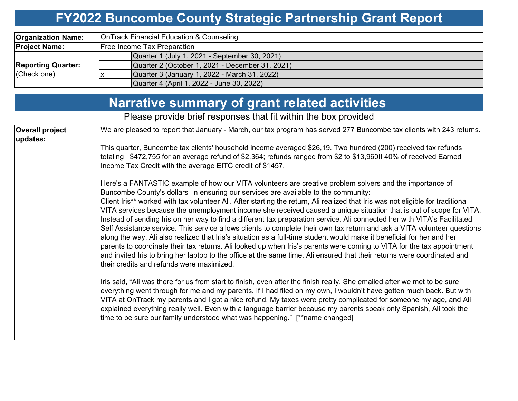#### **FY2022 Buncombe County Strategic Partnership Grant Report**

| <b>Organization Name:</b>                | OnTrack Financial Education & Counseling        |  |  |  |  |
|------------------------------------------|-------------------------------------------------|--|--|--|--|
| <b>Project Name:</b>                     | <b>Free Income Tax Preparation</b>              |  |  |  |  |
| <b>Reporting Quarter:</b><br>(Check one) | Quarter 1 (July 1, 2021 - September 30, 2021)   |  |  |  |  |
|                                          | Quarter 2 (October 1, 2021 - December 31, 2021) |  |  |  |  |
|                                          | Quarter 3 (January 1, 2022 - March 31, 2022)    |  |  |  |  |
|                                          | Quarter 4 (April 1, 2022 - June 30, 2022)       |  |  |  |  |

#### **Narrative summary of grant related activities**

Please provide brief responses that fit within the box provided

| <b>Overall project</b><br>updates: | We are pleased to report that January - March, our tax program has served 277 Buncombe tax clients with 243 returns.                                                                                                                                                                                                                                                                                                                                                                                                                                                                                                                                                                                                                                                                                                                                                                                                                                                                                                                                                                                                                           |  |  |  |  |
|------------------------------------|------------------------------------------------------------------------------------------------------------------------------------------------------------------------------------------------------------------------------------------------------------------------------------------------------------------------------------------------------------------------------------------------------------------------------------------------------------------------------------------------------------------------------------------------------------------------------------------------------------------------------------------------------------------------------------------------------------------------------------------------------------------------------------------------------------------------------------------------------------------------------------------------------------------------------------------------------------------------------------------------------------------------------------------------------------------------------------------------------------------------------------------------|--|--|--|--|
|                                    | This quarter, Buncombe tax clients' household income averaged \$26,19. Two hundred (200) received tax refunds<br>totaling \$472,755 for an average refund of \$2,364; refunds ranged from \$2 to \$13,960!! 40% of received Earned<br>Income Tax Credit with the average EITC credit of \$1457.                                                                                                                                                                                                                                                                                                                                                                                                                                                                                                                                                                                                                                                                                                                                                                                                                                                |  |  |  |  |
|                                    | Here's a FANTASTIC example of how our VITA volunteers are creative problem solvers and the importance of<br>Buncombe County's dollars in ensuring our services are available to the community:<br>Client Iris** worked with tax volunteer Ali. After starting the return, Ali realized that Iris was not eligible for traditional<br>VITA services because the unemployment income she received caused a unique situation that is out of scope for VITA.<br>Instead of sending Iris on her way to find a different tax preparation service, Ali connected her with VITA's Facilitated<br>Self Assistance service. This service allows clients to complete their own tax return and ask a VITA volunteer questions<br>along the way. Ali also realized that Iris's situation as a full-time student would make it beneficial for her and her<br>parents to coordinate their tax returns. Ali looked up when Iris's parents were coming to VITA for the tax appointment<br>and invited Iris to bring her laptop to the office at the same time. Ali ensured that their returns were coordinated and<br>their credits and refunds were maximized. |  |  |  |  |
|                                    | Iris said, "Ali was there for us from start to finish, even after the finish really. She emailed after we met to be sure<br>everything went through for me and my parents. If I had filed on my own, I wouldn't have gotten much back. But with<br>VITA at OnTrack my parents and I got a nice refund. My taxes were pretty complicated for someone my age, and Ali<br>explained everything really well. Even with a language barrier because my parents speak only Spanish, Ali took the<br>time to be sure our family understood what was happening." [**name changed]                                                                                                                                                                                                                                                                                                                                                                                                                                                                                                                                                                       |  |  |  |  |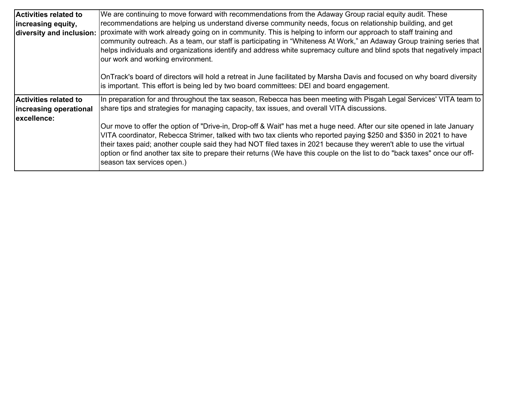| <b>Activities related to</b> | We are continuing to move forward with recommendations from the Adaway Group racial equity audit. These                                                                                                                                           |
|------------------------------|---------------------------------------------------------------------------------------------------------------------------------------------------------------------------------------------------------------------------------------------------|
| increasing equity,           | recommendations are helping us understand diverse community needs, focus on relationship building, and get                                                                                                                                        |
| diversity and inclusion:     | proximate with work already going on in community. This is helping to inform our approach to staff training and                                                                                                                                   |
|                              | community outreach. As a team, our staff is participating in "Whiteness At Work," an Adaway Group training series that<br>helps individuals and organizations identify and address white supremacy culture and blind spots that negatively impact |
|                              | our work and working environment.                                                                                                                                                                                                                 |
|                              |                                                                                                                                                                                                                                                   |
|                              | OnTrack's board of directors will hold a retreat in June facilitated by Marsha Davis and focused on why board diversity                                                                                                                           |
|                              | is important. This effort is being led by two board committees: DEI and board engagement.                                                                                                                                                         |
| <b>Activities related to</b> | In preparation for and throughout the tax season, Rebecca has been meeting with Pisgah Legal Services' VITA team to                                                                                                                               |
| increasing operational       | share tips and strategies for managing capacity, tax issues, and overall VITA discussions.                                                                                                                                                        |
| excellence:                  |                                                                                                                                                                                                                                                   |
|                              | Our move to offer the option of "Drive-in, Drop-off & Wait" has met a huge need. After our site opened in late January<br>VITA coordinator, Rebecca Strimer, talked with two tax clients who reported paying \$250 and \$350 in 2021 to have      |
|                              | their taxes paid; another couple said they had NOT filed taxes in 2021 because they weren't able to use the virtual                                                                                                                               |
|                              | option or find another tax site to prepare their returns (We have this couple on the list to do "back taxes" once our off-                                                                                                                        |
|                              | season tax services open.)                                                                                                                                                                                                                        |
|                              |                                                                                                                                                                                                                                                   |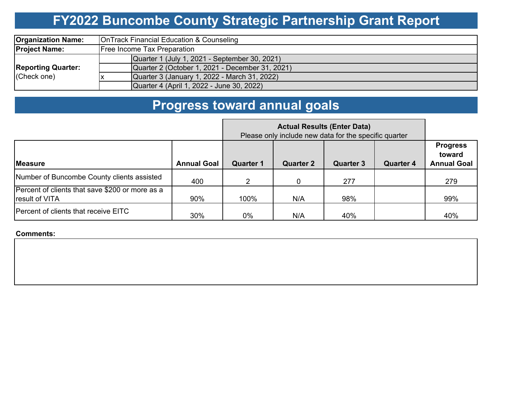# **FY2022 Buncombe County Strategic Partnership Grant Report**

| <b>Organization Name:</b>                | OnTrack Financial Education & Counseling        |  |  |  |
|------------------------------------------|-------------------------------------------------|--|--|--|
| <b>Project Name:</b>                     | <b>Free Income Tax Preparation</b>              |  |  |  |
| <b>Reporting Quarter:</b><br>(Check one) | Quarter 1 (July 1, 2021 - September 30, 2021)   |  |  |  |
|                                          | Quarter 2 (October 1, 2021 - December 31, 2021) |  |  |  |
|                                          | Quarter 3 (January 1, 2022 - March 31, 2022)    |  |  |  |
|                                          | Quarter 4 (April 1, 2022 - June 30, 2022)       |  |  |  |

# **Progress toward annual goals**

|                                                                          | <b>Actual Results (Enter Data)</b><br>Please only include new data for the specific quarter |                  |                  |                  |                  |                                                 |
|--------------------------------------------------------------------------|---------------------------------------------------------------------------------------------|------------------|------------------|------------------|------------------|-------------------------------------------------|
| <b>Measure</b>                                                           | <b>Annual Goal</b>                                                                          | <b>Quarter 1</b> | <b>Quarter 2</b> | <b>Quarter 3</b> | <b>Quarter 4</b> | <b>Progress</b><br>toward<br><b>Annual Goal</b> |
| Number of Buncombe County clients assisted                               | 400                                                                                         | $\mathcal{P}$    |                  | 277              |                  | 279                                             |
| Percent of clients that save \$200 or more as a<br><b>result of VITA</b> | 90%                                                                                         | 100%             | N/A              | 98%              |                  | 99%                                             |
| Percent of clients that receive EITC                                     | 30%                                                                                         | $0\%$            | N/A              | 40%              |                  | 40%                                             |

**Comments:**